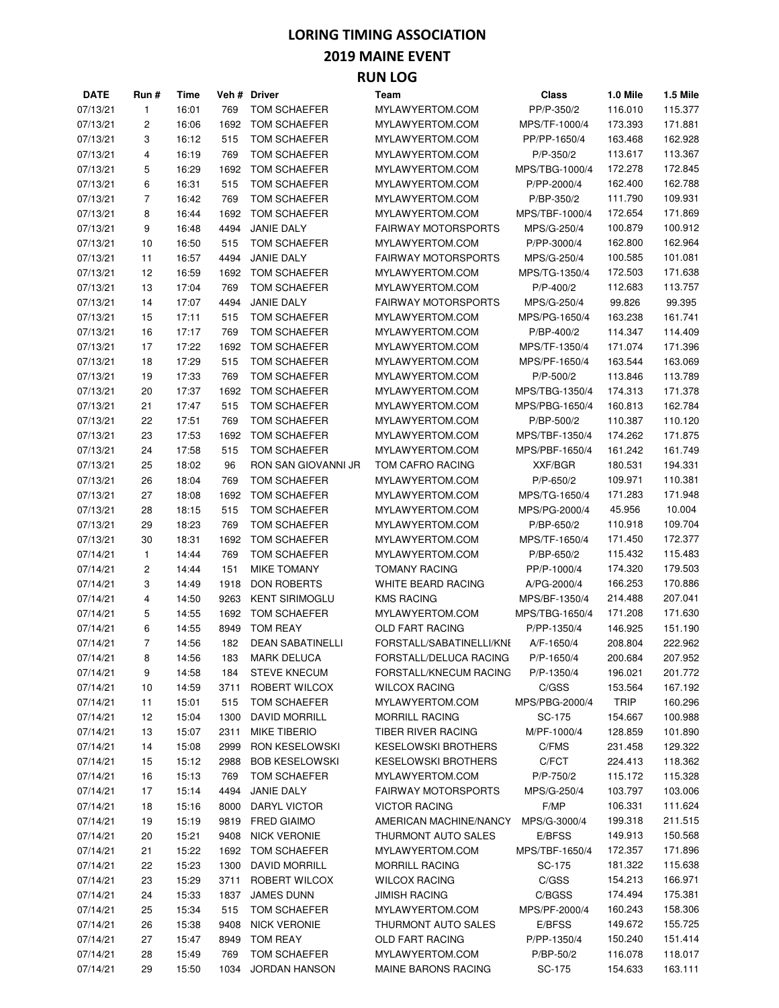### **LORING TIMING ASSOCIATION 2019 MAINE EVENT**

| ×<br>I<br>۰. | w<br>۰. |  |
|--------------|---------|--|
|              |         |  |

| <b>DATE</b> | Run #          | Time  |      | Veh# Driver             | Team                       | Class                | 1.0 Mile    | 1.5 Mile |
|-------------|----------------|-------|------|-------------------------|----------------------------|----------------------|-------------|----------|
| 07/13/21    | 1              | 16:01 | 769  | TOM SCHAEFER            | MYLAWYERTOM.COM            | PP/P-350/2           | 116.010     | 115.377  |
| 07/13/21    | 2              | 16:06 | 1692 | TOM SCHAEFER            | MYLAWYERTOM.COM            | MPS/TF-1000/4        | 173.393     | 171.881  |
| 07/13/21    | 3              | 16:12 | 515  | TOM SCHAEFER            | MYLAWYERTOM.COM            | PP/PP-1650/4         | 163.468     | 162.928  |
| 07/13/21    | 4              | 16:19 | 769  | TOM SCHAEFER            | MYLAWYERTOM.COM            | P/P-350/2            | 113.617     | 113.367  |
| 07/13/21    | 5              | 16:29 | 1692 | TOM SCHAEFER            | MYLAWYERTOM.COM            | MPS/TBG-1000/4       | 172.278     | 172.845  |
| 07/13/21    | 6              | 16:31 | 515  | TOM SCHAEFER            | MYLAWYERTOM.COM            | P/PP-2000/4          | 162.400     | 162.788  |
| 07/13/21    | 7              | 16:42 | 769  | TOM SCHAEFER            | MYLAWYERTOM.COM            | P/BP-350/2           | 111.790     | 109.931  |
| 07/13/21    | 8              | 16:44 | 1692 | TOM SCHAEFER            | MYLAWYERTOM.COM            | MPS/TBF-1000/4       | 172.654     | 171.869  |
| 07/13/21    | 9              | 16:48 | 4494 | JANIE DALY              | FAIRWAY MOTORSPORTS        | MPS/G-250/4          | 100.879     | 100.912  |
| 07/13/21    | 10             | 16:50 | 515  | TOM SCHAEFER            | MYLAWYERTOM.COM            | P/PP-3000/4          | 162.800     | 162.964  |
| 07/13/21    | 11             | 16:57 | 4494 | <b>JANIE DALY</b>       | <b>FAIRWAY MOTORSPORTS</b> | MPS/G-250/4          | 100.585     | 101.081  |
| 07/13/21    | 12             | 16:59 | 1692 | TOM SCHAEFER            | MYLAWYERTOM.COM            | MPS/TG-1350/4        | 172.503     | 171.638  |
| 07/13/21    | 13             | 17:04 | 769  | TOM SCHAEFER            | MYLAWYERTOM.COM            | P/P-400/2            | 112.683     | 113.757  |
| 07/13/21    | 14             | 17:07 | 4494 | <b>JANIE DALY</b>       | <b>FAIRWAY MOTORSPORTS</b> |                      |             | 99.395   |
|             |                |       |      |                         |                            | MPS/G-250/4          | 99.826      |          |
| 07/13/21    | 15             | 17:11 | 515  | TOM SCHAEFER            | MYLAWYERTOM.COM            | MPS/PG-1650/4        | 163.238     | 161.741  |
| 07/13/21    | 16             | 17:17 | 769  | TOM SCHAEFER            | MYLAWYERTOM.COM            | P/BP-400/2           | 114.347     | 114.409  |
| 07/13/21    | 17             | 17:22 | 1692 | TOM SCHAEFER            | MYLAWYERTOM.COM            | MPS/TF-1350/4        | 171.074     | 171.396  |
| 07/13/21    | 18             | 17:29 | 515  | TOM SCHAEFER            | MYLAWYERTOM.COM            | MPS/PF-1650/4        | 163.544     | 163.069  |
| 07/13/21    | 19             | 17:33 | 769  | TOM SCHAEFER            | MYLAWYERTOM.COM            | P/P-500/2            | 113.846     | 113.789  |
| 07/13/21    | 20             | 17:37 | 1692 | TOM SCHAEFER            | MYLAWYERTOM.COM            | MPS/TBG-1350/4       | 174.313     | 171.378  |
| 07/13/21    | 21             | 17:47 | 515  | <b>TOM SCHAEFER</b>     | MYLAWYERTOM.COM            | MPS/PBG-1650/4       | 160.813     | 162.784  |
| 07/13/21    | 22             | 17:51 | 769  | TOM SCHAEFER            | MYLAWYERTOM.COM            | P/BP-500/2           | 110.387     | 110.120  |
| 07/13/21    | 23             | 17:53 | 1692 | TOM SCHAEFER            | MYLAWYERTOM.COM            | MPS/TBF-1350/4       | 174.262     | 171.875  |
| 07/13/21    | 24             | 17:58 | 515  | TOM SCHAEFER            | MYLAWYERTOM.COM            | MPS/PBF-1650/4       | 161.242     | 161.749  |
| 07/13/21    | 25             | 18:02 | 96   | RON SAN GIOVANNI JR     | TOM CAFRO RACING           | XXF/BGR              | 180.531     | 194.331  |
| 07/13/21    | 26             | 18:04 | 769  | TOM SCHAEFER            | MYLAWYERTOM.COM            | $P/P - 650/2$        | 109.971     | 110.381  |
| 07/13/21    | 27             | 18:08 | 1692 | TOM SCHAEFER            | MYLAWYERTOM.COM            | MPS/TG-1650/4        | 171.283     | 171.948  |
| 07/13/21    | 28             | 18:15 | 515  | TOM SCHAEFER            | MYLAWYERTOM.COM            | MPS/PG-2000/4        | 45.956      | 10.004   |
| 07/13/21    | 29             | 18:23 | 769  | TOM SCHAEFER            | MYLAWYERTOM.COM            | P/BP-650/2           | 110.918     | 109.704  |
| 07/13/21    | 30             | 18:31 | 1692 | TOM SCHAEFER            | MYLAWYERTOM.COM            | MPS/TF-1650/4        | 171.450     | 172.377  |
| 07/14/21    | 1              | 14:44 | 769  | TOM SCHAEFER            | MYLAWYERTOM.COM            | P/BP-650/2           | 115.432     | 115.483  |
| 07/14/21    | 2              | 14:44 | 151  | <b>MIKE TOMANY</b>      | <b>TOMANY RACING</b>       | PP/P-1000/4          | 174.320     | 179.503  |
| 07/14/21    | 3              | 14:49 | 1918 | <b>DON ROBERTS</b>      | WHITE BEARD RACING         | A/PG-2000/4          | 166.253     | 170.886  |
| 07/14/21    | 4              | 14:50 | 9263 | <b>KENT SIRIMOGLU</b>   | <b>KMS RACING</b>          | MPS/BF-1350/4        | 214.488     | 207.041  |
| 07/14/21    | 5              | 14:55 | 1692 | TOM SCHAEFER            | MYLAWYERTOM.COM            | MPS/TBG-1650/4       | 171.208     | 171.630  |
| 07/14/21    | 6              | 14:55 | 8949 | <b>TOM REAY</b>         | <b>OLD FART RACING</b>     | P/PP-1350/4          | 146.925     | 151.190  |
| 07/14/21    | $\overline{7}$ | 14:56 | 182  | <b>DEAN SABATINELLI</b> | FORSTALL/SABATINELLI/KNI   | A/F-1650/4           | 208.804     | 222.962  |
| 07/14/21    | 8              | 14:56 | 183  | <b>MARK DELUCA</b>      | FORSTALL/DELUCA RACING     | P/P-1650/4           | 200.684     | 207.952  |
| 07/14/21    | 9              | 14:58 | 184  | <b>STEVE KNECUM</b>     | FORSTALL/KNECUM RACING     | P/P-1350/4           | 196.021     | 201.772  |
| 07/14/21    | 10             | 14:59 | 3711 | ROBERT WILCOX           | <b>WILCOX RACING</b>       | C/GSS                | 153.564     | 167.192  |
| 07/14/21    | 11             | 15:01 | 515  | TOM SCHAEFER            | MYLAWYERTOM.COM            | MPS/PBG-2000/4       | <b>TRIP</b> | 160.296  |
| 07/14/21    | 12             | 15:04 | 1300 | <b>DAVID MORRILL</b>    | <b>MORRILL RACING</b>      | SC-175               | 154.667     | 100.988  |
| 07/14/21    |                |       |      | <b>MIKE TIBERIO</b>     |                            |                      |             |          |
|             | 13             | 15:07 | 2311 |                         | TIBER RIVER RACING         | M/PF-1000/4<br>C/FMS | 128.859     | 101.890  |
| 07/14/21    | 14             | 15:08 | 2999 | RON KESELOWSKI          | <b>KESELOWSKI BROTHERS</b> |                      | 231.458     | 129.322  |
| 07/14/21    | 15             | 15:12 | 2988 | <b>BOB KESELOWSKI</b>   | <b>KESELOWSKI BROTHERS</b> | C/FCT                | 224.413     | 118.362  |
| 07/14/21    | 16             | 15:13 | 769  | TOM SCHAEFER            | MYLAWYERTOM.COM            | P/P-750/2            | 115.172     | 115.328  |
| 07/14/21    | 17             | 15:14 | 4494 | <b>JANIE DALY</b>       | FAIRWAY MOTORSPORTS        | MPS/G-250/4          | 103.797     | 103.006  |
| 07/14/21    | 18             | 15:16 | 8000 | DARYL VICTOR            | <b>VICTOR RACING</b>       | F/MP                 | 106.331     | 111.624  |
| 07/14/21    | 19             | 15:19 | 9819 | <b>FRED GIAIMO</b>      | AMERICAN MACHINE/NANCY     | MPS/G-3000/4         | 199.318     | 211.515  |
| 07/14/21    | 20             | 15:21 | 9408 | <b>NICK VERONIE</b>     | THURMONT AUTO SALES        | E/BFSS               | 149.913     | 150.568  |
| 07/14/21    | 21             | 15:22 | 1692 | TOM SCHAEFER            | MYLAWYERTOM.COM            | MPS/TBF-1650/4       | 172.357     | 171.896  |
| 07/14/21    | 22             | 15:23 | 1300 | <b>DAVID MORRILL</b>    | <b>MORRILL RACING</b>      | SC-175               | 181.322     | 115.638  |
| 07/14/21    | 23             | 15:29 | 3711 | ROBERT WILCOX           | <b>WILCOX RACING</b>       | C/GSS                | 154.213     | 166.971  |
| 07/14/21    | 24             | 15:33 | 1837 | <b>JAMES DUNN</b>       | <b>JIMISH RACING</b>       | C/BGSS               | 174.494     | 175.381  |
| 07/14/21    | 25             | 15:34 | 515  | TOM SCHAEFER            | MYLAWYERTOM.COM            | MPS/PF-2000/4        | 160.243     | 158.306  |
| 07/14/21    | 26             | 15:38 | 9408 | <b>NICK VERONIE</b>     | THURMONT AUTO SALES        | E/BFSS               | 149.672     | 155.725  |
| 07/14/21    | 27             | 15:47 | 8949 | TOM REAY                | OLD FART RACING            | P/PP-1350/4          | 150.240     | 151.414  |
| 07/14/21    | 28             | 15:49 | 769  | TOM SCHAEFER            | MYLAWYERTOM.COM            | P/BP-50/2            | 116.078     | 118.017  |
| 07/14/21    | 29             | 15:50 | 1034 | JORDAN HANSON           | MAINE BARONS RACING        | SC-175               | 154.633     | 163.111  |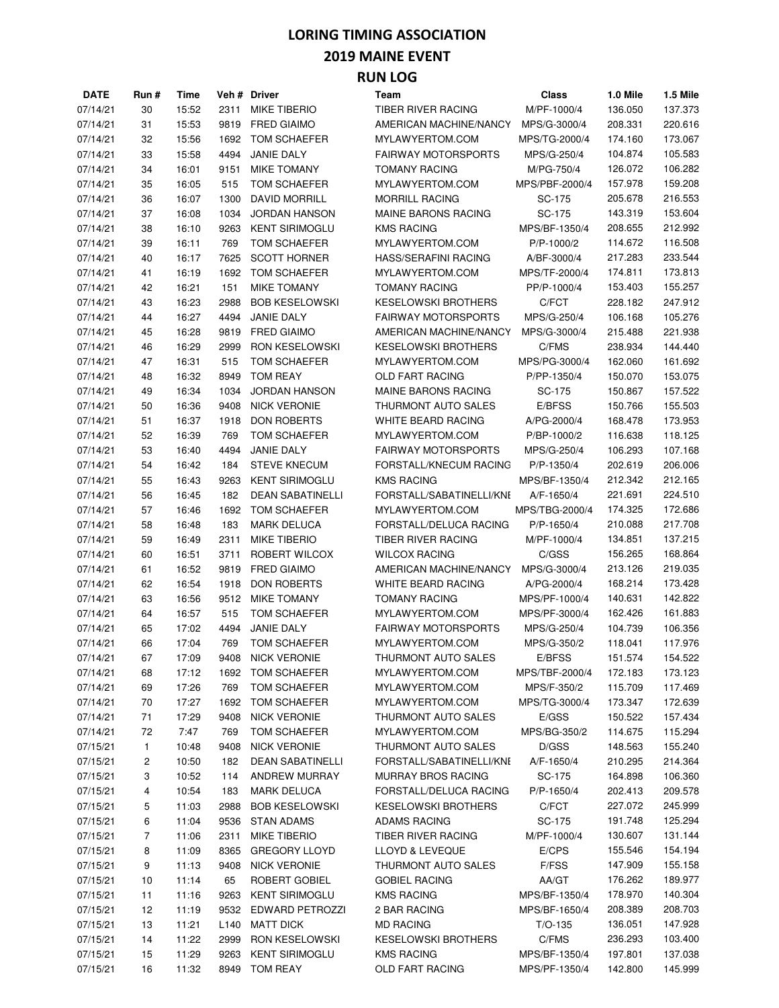#### **2019 MAINE EVENT**

| <b>DATE</b> | Run # | Time           |                  | Veh # Driver            | Team                       | Class          | 1.0 Mile | 1.5 Mile |
|-------------|-------|----------------|------------------|-------------------------|----------------------------|----------------|----------|----------|
| 07/14/21    | 30    | 15:52          | 2311             | <b>MIKE TIBERIO</b>     | TIBER RIVER RACING         | M/PF-1000/4    | 136.050  | 137.373  |
| 07/14/21    | 31    | 15:53          | 9819             | <b>FRED GIAIMO</b>      | AMERICAN MACHINE/NANCY     | MPS/G-3000/4   | 208.331  | 220.616  |
| 07/14/21    | 32    | 15:56          | 1692             | TOM SCHAEFER            | MYLAWYERTOM.COM            | MPS/TG-2000/4  | 174.160  | 173.067  |
| 07/14/21    | 33    | 15:58          | 4494             | <b>JANIE DALY</b>       | <b>FAIRWAY MOTORSPORTS</b> | MPS/G-250/4    | 104.874  | 105.583  |
| 07/14/21    | 34    | 16:01          | 9151             | <b>MIKE TOMANY</b>      | <b>TOMANY RACING</b>       | M/PG-750/4     | 126.072  | 106.282  |
| 07/14/21    | 35    | 16:05          | 515              | TOM SCHAEFER            | MYLAWYERTOM.COM            | MPS/PBF-2000/4 | 157.978  | 159.208  |
| 07/14/21    | 36    | 16:07          | 1300             | DAVID MORRILL           | <b>MORRILL RACING</b>      | SC-175         | 205.678  | 216.553  |
| 07/14/21    | 37    | 16:08          | 1034             | <b>JORDAN HANSON</b>    | MAINE BARONS RACING        | SC-175         | 143.319  | 153.604  |
| 07/14/21    | 38    | 16:10          | 9263             | <b>KENT SIRIMOGLU</b>   | <b>KMS RACING</b>          | MPS/BF-1350/4  | 208.655  | 212.992  |
| 07/14/21    | 39    | 16:11          | 769              | TOM SCHAEFER            | MYLAWYERTOM.COM            | P/P-1000/2     | 114.672  | 116.508  |
| 07/14/21    | 40    | 16:17          | 7625             | <b>SCOTT HORNER</b>     | HASS/SERAFINI RACING       | A/BF-3000/4    | 217.283  | 233.544  |
| 07/14/21    |       |                | 1692             | TOM SCHAEFER            | MYLAWYERTOM.COM            |                | 174.811  | 173.813  |
|             | 41    | 16:19          |                  |                         |                            | MPS/TF-2000/4  |          |          |
| 07/14/21    | 42    | 16:21          | 151              | <b>MIKE TOMANY</b>      | <b>TOMANY RACING</b>       | PP/P-1000/4    | 153.403  | 155.257  |
| 07/14/21    | 43    | 16:23          | 2988             | <b>BOB KESELOWSKI</b>   | <b>KESELOWSKI BROTHERS</b> | C/FCT          | 228.182  | 247.912  |
| 07/14/21    | 44    | 16:27          | 4494             | JANIE DALY              | <b>FAIRWAY MOTORSPORTS</b> | MPS/G-250/4    | 106.168  | 105.276  |
| 07/14/21    | 45    | 16:28          | 9819             | <b>FRED GIAIMO</b>      | AMERICAN MACHINE/NANCY     | MPS/G-3000/4   | 215.488  | 221.938  |
| 07/14/21    | 46    | 16:29          | 2999             | RON KESELOWSKI          | <b>KESELOWSKI BROTHERS</b> | C/FMS          | 238.934  | 144.440  |
| 07/14/21    | 47    | 16:31          | 515              | TOM SCHAEFER            | MYLAWYERTOM.COM            | MPS/PG-3000/4  | 162.060  | 161.692  |
| 07/14/21    | 48    | 16:32          | 8949             | TOM REAY                | <b>OLD FART RACING</b>     | P/PP-1350/4    | 150.070  | 153.075  |
| 07/14/21    | 49    | 16:34          | 1034             | <b>JORDAN HANSON</b>    | MAINE BARONS RACING        | SC-175         | 150.867  | 157.522  |
| 07/14/21    | 50    | 16:36          | 9408             | <b>NICK VERONIE</b>     | THURMONT AUTO SALES        | E/BFSS         | 150.766  | 155.503  |
| 07/14/21    | 51    | 16:37          | 1918             | <b>DON ROBERTS</b>      | <b>WHITE BEARD RACING</b>  | A/PG-2000/4    | 168.478  | 173.953  |
| 07/14/21    | 52    | 16:39          | 769              | TOM SCHAEFER            | MYLAWYERTOM.COM            | P/BP-1000/2    | 116.638  | 118.125  |
| 07/14/21    | 53    | 16:40          | 4494             | JANIE DALY              | <b>FAIRWAY MOTORSPORTS</b> | MPS/G-250/4    | 106.293  | 107.168  |
| 07/14/21    | 54    | 16:42          | 184              | <b>STEVE KNECUM</b>     | FORSTALL/KNECUM RACING     | P/P-1350/4     | 202.619  | 206.006  |
| 07/14/21    | 55    | 16:43          | 9263             | <b>KENT SIRIMOGLU</b>   | <b>KMS RACING</b>          | MPS/BF-1350/4  | 212.342  | 212.165  |
| 07/14/21    | 56    | 16:45          | 182              | <b>DEAN SABATINELLI</b> | FORSTALL/SABATINELLI/KNE   | A/F-1650/4     | 221.691  | 224.510  |
| 07/14/21    | 57    | 16:46          | 1692             | TOM SCHAEFER            | MYLAWYERTOM.COM            | MPS/TBG-2000/4 | 174.325  | 172.686  |
| 07/14/21    | 58    | 16:48          | 183              | <b>MARK DELUCA</b>      | FORSTALL/DELUCA RACING     | P/P-1650/4     | 210.088  | 217.708  |
| 07/14/21    | 59    | 16:49          | 2311             | <b>MIKE TIBERIO</b>     | TIBER RIVER RACING         | M/PF-1000/4    | 134.851  | 137.215  |
| 07/14/21    | 60    | 16:51          | 3711             | ROBERT WILCOX           | <b>WILCOX RACING</b>       | C/GSS          | 156.265  | 168.864  |
| 07/14/21    | 61    | 16:52          | 9819             | <b>FRED GIAIMO</b>      | AMERICAN MACHINE/NANCY     | MPS/G-3000/4   | 213.126  | 219.035  |
| 07/14/21    | 62    | 16:54          | 1918             | <b>DON ROBERTS</b>      | WHITE BEARD RACING         | A/PG-2000/4    | 168.214  | 173.428  |
| 07/14/21    | 63    | 16:56          | 9512             | <b>MIKE TOMANY</b>      | <b>TOMANY RACING</b>       | MPS/PF-1000/4  | 140.631  | 142.822  |
| 07/14/21    | 64    | 16:57          | 515              | TOM SCHAEFER            | MYLAWYERTOM.COM            | MPS/PF-3000/4  | 162.426  | 161.883  |
| 07/14/21    |       |                |                  | <b>JANIE DALY</b>       | <b>FAIRWAY MOTORSPORTS</b> |                |          | 106.356  |
|             | 65    | 17:02<br>17:04 | 4494             |                         |                            | MPS/G-250/4    | 104.739  |          |
| 07/14/21    | 66    |                | 769              | TOM SCHAEFER            | MYLAWYERTOM.COM            | MPS/G-350/2    | 118.041  | 117.976  |
| 07/14/21    | 67    | 17:09          | 9408             | <b>NICK VERONIE</b>     | THURMONT AUTO SALES        | E/BFSS         | 151.574  | 154.522  |
| 07/14/21    | 68    | 17:12          | 1692             | TOM SCHAEFER            | MYLAWYERTOM.COM            | MPS/TBF-2000/4 | 172.183  | 173.123  |
| 07/14/21    | 69    | 17:26          | 769              | TOM SCHAEFER            | MYLAWYERTOM.COM            | MPS/F-350/2    | 115.709  | 117.469  |
| 07/14/21    | 70    | 17:27          | 1692             | TOM SCHAEFER            | MYLAWYERTOM.COM            | MPS/TG-3000/4  | 173.347  | 172.639  |
| 07/14/21    | 71    | 17:29          | 9408             | <b>NICK VERONIE</b>     | THURMONT AUTO SALES        | E/GSS          | 150.522  | 157.434  |
| 07/14/21    | 72    | 7:47           | 769              | TOM SCHAEFER            | MYLAWYERTOM.COM            | MPS/BG-350/2   | 114.675  | 115.294  |
| 07/15/21    | 1     | 10:48          | 9408             | <b>NICK VERONIE</b>     | THURMONT AUTO SALES        | D/GSS          | 148.563  | 155.240  |
| 07/15/21    | 2     | 10:50          | 182              | <b>DEAN SABATINELLI</b> | FORSTALL/SABATINELLI/KNE   | A/F-1650/4     | 210.295  | 214.364  |
| 07/15/21    | 3     | 10:52          | 114              | ANDREW MURRAY           | <b>MURRAY BROS RACING</b>  | SC-175         | 164.898  | 106.360  |
| 07/15/21    | 4     | 10:54          | 183              | <b>MARK DELUCA</b>      | FORSTALL/DELUCA RACING     | P/P-1650/4     | 202.413  | 209.578  |
| 07/15/21    | 5     | 11:03          | 2988             | <b>BOB KESELOWSKI</b>   | <b>KESELOWSKI BROTHERS</b> | C/FCT          | 227.072  | 245.999  |
| 07/15/21    | 6     | 11:04          | 9536             | <b>STAN ADAMS</b>       | <b>ADAMS RACING</b>        | SC-175         | 191.748  | 125.294  |
| 07/15/21    | 7     | 11:06          | 2311             | MIKE TIBERIO            | TIBER RIVER RACING         | M/PF-1000/4    | 130.607  | 131.144  |
| 07/15/21    | 8     | 11:09          | 8365             | <b>GREGORY LLOYD</b>    | LLOYD & LEVEQUE            | E/CPS          | 155.546  | 154.194  |
| 07/15/21    | 9     | 11:13          | 9408             | <b>NICK VERONIE</b>     | THURMONT AUTO SALES        | F/FSS          | 147.909  | 155.158  |
| 07/15/21    | 10    | 11:14          | 65               | ROBERT GOBIEL           | <b>GOBIEL RACING</b>       | AA/GT          | 176.262  | 189.977  |
| 07/15/21    | 11    | 11:16          | 9263             | <b>KENT SIRIMOGLU</b>   | <b>KMS RACING</b>          | MPS/BF-1350/4  | 178.970  | 140.304  |
| 07/15/21    | 12    | 11:19          | 9532             | EDWARD PETROZZI         | 2 BAR RACING               | MPS/BF-1650/4  | 208.389  | 208.703  |
| 07/15/21    | 13    | 11:21          | L <sub>140</sub> | <b>MATT DICK</b>        | <b>MD RACING</b>           | $T/O-135$      | 136.051  | 147.928  |
| 07/15/21    | 14    | 11:22          | 2999             | RON KESELOWSKI          | <b>KESELOWSKI BROTHERS</b> | C/FMS          | 236.293  | 103.400  |
| 07/15/21    | 15    | 11:29          | 9263             | <b>KENT SIRIMOGLU</b>   | <b>KMS RACING</b>          | MPS/BF-1350/4  | 197.801  | 137.038  |
| 07/15/21    | 16    | 11:32          | 8949             | <b>TOM REAY</b>         | OLD FART RACING            | MPS/PF-1350/4  | 142.800  | 145.999  |
|             |       |                |                  |                         |                            |                |          |          |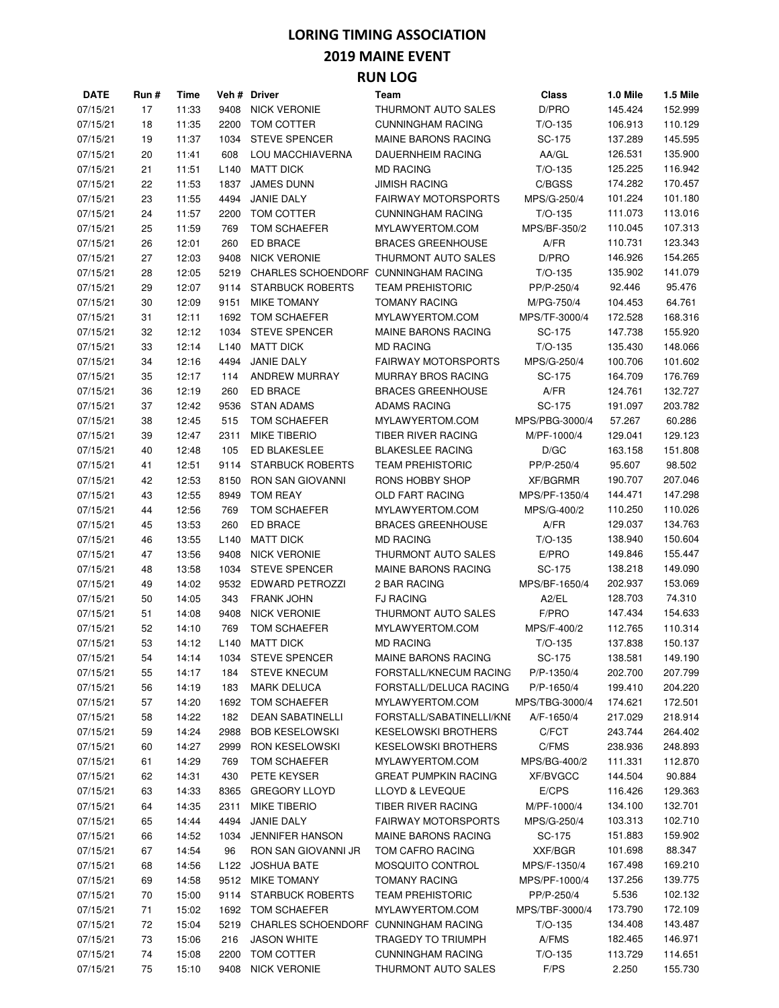#### **2019 MAINE EVENT**

| <b>DATE</b> | Run # | Time  |                  | Veh# Driver                          | Team                        | <b>Class</b>    | 1.0 Mile | 1.5 Mile |
|-------------|-------|-------|------------------|--------------------------------------|-----------------------------|-----------------|----------|----------|
| 07/15/21    | 17    | 11:33 | 9408             | <b>NICK VERONIE</b>                  | THURMONT AUTO SALES         | D/PRO           | 145.424  | 152.999  |
| 07/15/21    | 18    | 11:35 | 2200             | TOM COTTER                           | <b>CUNNINGHAM RACING</b>    | $T/O-135$       | 106.913  | 110.129  |
| 07/15/21    | 19    | 11:37 | 1034             | <b>STEVE SPENCER</b>                 | <b>MAINE BARONS RACING</b>  | SC-175          | 137.289  | 145.595  |
| 07/15/21    | 20    | 11:41 | 608              | LOU MACCHIAVERNA                     | <b>DAUERNHEIM RACING</b>    | AA/GL           | 126.531  | 135.900  |
| 07/15/21    | 21    | 11:51 | L <sub>140</sub> | <b>MATT DICK</b>                     | <b>MD RACING</b>            | $T/O-135$       | 125.225  | 116.942  |
| 07/15/21    | 22    | 11:53 | 1837             | <b>JAMES DUNN</b>                    | <b>JIMISH RACING</b>        | C/BGSS          | 174.282  | 170.457  |
| 07/15/21    | 23    | 11:55 | 4494             | JANIE DALY                           | <b>FAIRWAY MOTORSPORTS</b>  | MPS/G-250/4     | 101.224  | 101.180  |
| 07/15/21    | 24    | 11:57 | 2200             | TOM COTTER                           | <b>CUNNINGHAM RACING</b>    | $T/O-135$       | 111.073  | 113.016  |
| 07/15/21    | 25    | 11:59 | 769              | TOM SCHAEFER                         | MYLAWYERTOM.COM             | MPS/BF-350/2    | 110.045  | 107.313  |
| 07/15/21    | 26    | 12:01 | 260              | <b>ED BRACE</b>                      | <b>BRACES GREENHOUSE</b>    | A/FR            | 110.731  | 123.343  |
| 07/15/21    | 27    | 12:03 | 9408             | <b>NICK VERONIE</b>                  | <b>THURMONT AUTO SALES</b>  | D/PRO           | 146.926  | 154.265  |
| 07/15/21    | 28    | 12:05 | 5219             | <b>CHARLES SCHOENDORF</b>            | <b>CUNNINGHAM RACING</b>    | $T/O-135$       | 135.902  | 141.079  |
| 07/15/21    | 29    | 12:07 | 9114             | <b>STARBUCK ROBERTS</b>              | <b>TEAM PREHISTORIC</b>     | PP/P-250/4      | 92.446   | 95.476   |
| 07/15/21    | 30    | 12:09 | 9151             | <b>MIKE TOMANY</b>                   | <b>TOMANY RACING</b>        | M/PG-750/4      | 104.453  | 64.761   |
| 07/15/21    | 31    | 12:11 | 1692             | TOM SCHAEFER                         | MYLAWYERTOM.COM             | MPS/TF-3000/4   | 172.528  | 168.316  |
| 07/15/21    | 32    | 12:12 | 1034             | <b>STEVE SPENCER</b>                 | <b>MAINE BARONS RACING</b>  | SC-175          | 147.738  | 155.920  |
| 07/15/21    | 33    | 12:14 | L <sub>140</sub> | <b>MATT DICK</b>                     | <b>MD RACING</b>            | $T/O-135$       | 135.430  | 148.066  |
| 07/15/21    | 34    | 12:16 | 4494             | JANIE DALY                           | <b>FAIRWAY MOTORSPORTS</b>  | MPS/G-250/4     | 100.706  | 101.602  |
| 07/15/21    | 35    | 12:17 | 114              | ANDREW MURRAY                        | <b>MURRAY BROS RACING</b>   | SC-175          | 164.709  | 176.769  |
| 07/15/21    | 36    | 12:19 | 260              | ED BRACE                             | <b>BRACES GREENHOUSE</b>    | A/FR            | 124.761  | 132.727  |
| 07/15/21    | 37    | 12:42 | 9536             | <b>STAN ADAMS</b>                    | <b>ADAMS RACING</b>         | SC-175          | 191.097  | 203.782  |
| 07/15/21    | 38    | 12:45 | 515              | TOM SCHAEFER                         | MYLAWYERTOM.COM             | MPS/PBG-3000/4  | 57.267   | 60.286   |
| 07/15/21    | 39    | 12:47 | 2311             | <b>MIKE TIBERIO</b>                  | <b>TIBER RIVER RACING</b>   | M/PF-1000/4     | 129.041  | 129.123  |
| 07/15/21    | 40    | 12:48 | 105              | ED BLAKESLEE                         | <b>BLAKESLEE RACING</b>     | D/GC            | 163.158  | 151.808  |
| 07/15/21    | 41    | 12:51 | 9114             | <b>STARBUCK ROBERTS</b>              | <b>TEAM PREHISTORIC</b>     | PP/P-250/4      | 95.607   | 98.502   |
| 07/15/21    | 42    | 12:53 | 8150             | <b>RON SAN GIOVANNI</b>              | RONS HOBBY SHOP             | <b>XF/BGRMR</b> | 190.707  | 207.046  |
| 07/15/21    | 43    | 12:55 | 8949             | <b>TOM REAY</b>                      | <b>OLD FART RACING</b>      | MPS/PF-1350/4   | 144.471  | 147.298  |
| 07/15/21    | 44    | 12:56 | 769              | TOM SCHAEFER                         | MYLAWYERTOM.COM             | MPS/G-400/2     | 110.250  | 110.026  |
| 07/15/21    | 45    | 13:53 | 260              | <b>ED BRACE</b>                      | <b>BRACES GREENHOUSE</b>    | A/FR            | 129.037  | 134.763  |
| 07/15/21    | 46    | 13:55 | L <sub>140</sub> | <b>MATT DICK</b>                     | <b>MD RACING</b>            | $T/O-135$       | 138.940  | 150.604  |
| 07/15/21    | 47    | 13:56 | 9408             | <b>NICK VERONIE</b>                  | THURMONT AUTO SALES         | E/PRO           | 149.846  | 155.447  |
| 07/15/21    | 48    | 13:58 | 1034             | <b>STEVE SPENCER</b>                 | <b>MAINE BARONS RACING</b>  | SC-175          | 138.218  | 149.090  |
| 07/15/21    | 49    | 14:02 | 9532             | <b>EDWARD PETROZZI</b>               | 2 BAR RACING                | MPS/BF-1650/4   | 202.937  | 153.069  |
| 07/15/21    | 50    | 14:05 | 343              | <b>FRANK JOHN</b>                    | <b>FJ RACING</b>            | A2/EL           | 128.703  | 74.310   |
| 07/15/21    | 51    | 14:08 | 9408             | <b>NICK VERONIE</b>                  | THURMONT AUTO SALES         | F/PRO           | 147.434  | 154.633  |
| 07/15/21    | 52    | 14:10 | 769              | <b>TOM SCHAEFER</b>                  | MYLAWYERTOM.COM             | MPS/F-400/2     | 112.765  | 110.314  |
| 07/15/21    | 53    | 14:12 | L <sub>140</sub> | <b>MATT DICK</b>                     | <b>MD RACING</b>            | $T/O-135$       | 137.838  | 150.137  |
| 07/15/21    | 54    | 14:14 |                  | 1034 STEVE SPENCER                   | MAINE BARONS RACING         | SC-175          | 138.581  | 149.190  |
| 07/15/21    | 55    | 14:17 | 184              | <b>STEVE KNECUM</b>                  | FORSTALL/KNECUM RACING      | P/P-1350/4      | 202.700  | 207.799  |
| 07/15/21    | 56    | 14:19 | 183              | <b>MARK DELUCA</b>                   | FORSTALL/DELUCA RACING      | P/P-1650/4      | 199.410  | 204.220  |
| 07/15/21    | 57    | 14:20 | 1692             | TOM SCHAEFER                         | MYLAWYERTOM.COM             | MPS/TBG-3000/4  | 174.621  | 172.501  |
| 07/15/21    | 58    | 14:22 | 182              | <b>DEAN SABATINELLI</b>              | FORSTALL/SABATINELLI/KNE    | A/F-1650/4      | 217.029  | 218.914  |
| 07/15/21    | 59    | 14:24 | 2988             | <b>BOB KESELOWSKI</b>                | <b>KESELOWSKI BROTHERS</b>  | C/FCT           | 243.744  | 264.402  |
| 07/15/21    | 60    | 14:27 | 2999             | RON KESELOWSKI                       | KESELOWSKI BROTHERS         | C/FMS           | 238.936  | 248.893  |
| 07/15/21    | 61    | 14:29 | 769              | TOM SCHAEFER                         | MYLAWYERTOM.COM             | MPS/BG-400/2    | 111.331  | 112.870  |
| 07/15/21    | 62    | 14:31 | 430              | PETE KEYSER                          | <b>GREAT PUMPKIN RACING</b> | <b>XF/BVGCC</b> | 144.504  | 90.884   |
| 07/15/21    | 63    | 14:33 | 8365             | <b>GREGORY LLOYD</b>                 | LLOYD & LEVEQUE             | E/CPS           | 116.426  | 129.363  |
| 07/15/21    | 64    | 14:35 | 2311             | <b>MIKE TIBERIO</b>                  | TIBER RIVER RACING          | M/PF-1000/4     | 134.100  | 132.701  |
| 07/15/21    | 65    | 14:44 | 4494             | JANIE DALY                           | <b>FAIRWAY MOTORSPORTS</b>  | MPS/G-250/4     | 103.313  | 102.710  |
| 07/15/21    | 66    | 14:52 | 1034             | <b>JENNIFER HANSON</b>               | MAINE BARONS RACING         | SC-175          | 151.883  | 159.902  |
| 07/15/21    | 67    | 14:54 | 96               | RON SAN GIOVANNI JR                  | TOM CAFRO RACING            | XXF/BGR         | 101.698  | 88.347   |
| 07/15/21    | 68    | 14:56 |                  | L122 JOSHUA BATE                     | MOSQUITO CONTROL            | MPS/F-1350/4    | 167.498  | 169.210  |
| 07/15/21    | 69    | 14:58 |                  | 9512 MIKE TOMANY                     | <b>TOMANY RACING</b>        | MPS/PF-1000/4   | 137.256  | 139.775  |
| 07/15/21    | 70    | 15:00 | 9114             | <b>STARBUCK ROBERTS</b>              | <b>TEAM PREHISTORIC</b>     | PP/P-250/4      | 5.536    | 102.132  |
| 07/15/21    | 71    | 15:02 | 1692             | TOM SCHAEFER                         | MYLAWYERTOM.COM             | MPS/TBF-3000/4  | 173.790  | 172.109  |
| 07/15/21    | 72    | 15:04 | 5219             | CHARLES SCHOENDORF CUNNINGHAM RACING |                             | $T/O-135$       | 134.408  | 143.487  |
| 07/15/21    | 73    | 15:06 | 216              | <b>JASON WHITE</b>                   | TRAGEDY TO TRIUMPH          | A/FMS           | 182.465  | 146.971  |
| 07/15/21    | 74    | 15:08 | 2200             | TOM COTTER                           | <b>CUNNINGHAM RACING</b>    | $T/O-135$       | 113.729  | 114.651  |
| 07/15/21    | 75    | 15:10 |                  | 9408 NICK VERONIE                    | THURMONT AUTO SALES         | F/PS            | 2.250    | 155.730  |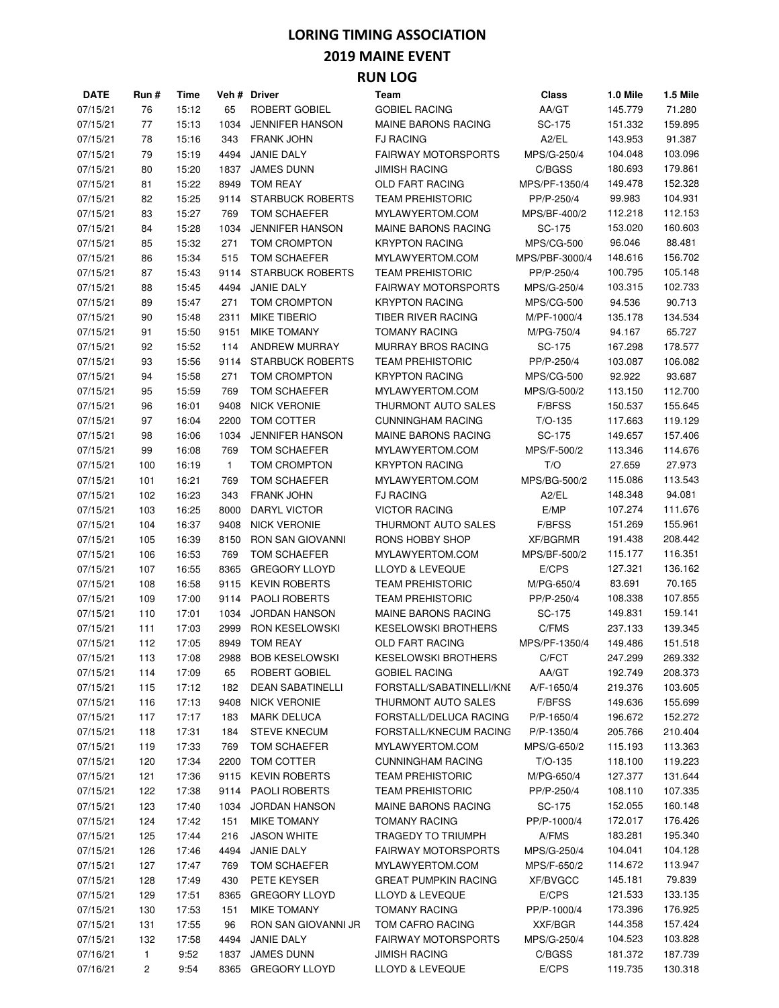#### **2019 MAINE EVENT**

| <b>DATE</b> | Run #          | Time  |              | Veh # Driver            | Team                        | <b>Class</b>      | 1.0 Mile | 1.5 Mile |
|-------------|----------------|-------|--------------|-------------------------|-----------------------------|-------------------|----------|----------|
| 07/15/21    | 76             | 15:12 | 65           | ROBERT GOBIEL           | <b>GOBIEL RACING</b>        | AA/GT             | 145.779  | 71.280   |
| 07/15/21    | 77             | 15:13 | 1034         | <b>JENNIFER HANSON</b>  | <b>MAINE BARONS RACING</b>  | SC-175            | 151.332  | 159.895  |
| 07/15/21    | 78             | 15:16 | 343          | <b>FRANK JOHN</b>       | <b>FJ RACING</b>            | A2/EL             | 143.953  | 91.387   |
| 07/15/21    | 79             | 15:19 | 4494         | <b>JANIE DALY</b>       | <b>FAIRWAY MOTORSPORTS</b>  | MPS/G-250/4       | 104.048  | 103.096  |
| 07/15/21    | 80             | 15:20 | 1837         | <b>JAMES DUNN</b>       | <b>JIMISH RACING</b>        | C/BGSS            | 180.693  | 179.861  |
| 07/15/21    | 81             | 15:22 | 8949         | <b>TOM REAY</b>         | OLD FART RACING             | MPS/PF-1350/4     | 149.478  | 152.328  |
| 07/15/21    | 82             | 15:25 | 9114         | <b>STARBUCK ROBERTS</b> | <b>TEAM PREHISTORIC</b>     | PP/P-250/4        | 99.983   | 104.931  |
| 07/15/21    | 83             | 15:27 | 769          | TOM SCHAEFER            | MYLAWYERTOM.COM             | MPS/BF-400/2      | 112.218  | 112.153  |
| 07/15/21    | 84             | 15:28 | 1034         | <b>JENNIFER HANSON</b>  | <b>MAINE BARONS RACING</b>  | SC-175            | 153.020  | 160.603  |
| 07/15/21    | 85             | 15:32 | 271          | TOM CROMPTON            | <b>KRYPTON RACING</b>       | <b>MPS/CG-500</b> | 96.046   | 88.481   |
| 07/15/21    | 86             | 15:34 | 515          | TOM SCHAEFER            | MYLAWYERTOM.COM             | MPS/PBF-3000/4    | 148.616  | 156.702  |
| 07/15/21    | 87             | 15:43 | 9114         | <b>STARBUCK ROBERTS</b> | <b>TEAM PREHISTORIC</b>     | PP/P-250/4        | 100.795  | 105.148  |
| 07/15/21    |                |       | 4494         | <b>JANIE DALY</b>       | <b>FAIRWAY MOTORSPORTS</b>  | MPS/G-250/4       |          | 102.733  |
|             | 88             | 15:45 |              |                         |                             |                   | 103.315  |          |
| 07/15/21    | 89             | 15:47 | 271          | TOM CROMPTON            | <b>KRYPTON RACING</b>       | <b>MPS/CG-500</b> | 94.536   | 90.713   |
| 07/15/21    | 90             | 15:48 | 2311         | <b>MIKE TIBERIO</b>     | TIBER RIVER RACING          | M/PF-1000/4       | 135.178  | 134.534  |
| 07/15/21    | 91             | 15:50 | 9151         | <b>MIKE TOMANY</b>      | <b>TOMANY RACING</b>        | M/PG-750/4        | 94.167   | 65.727   |
| 07/15/21    | 92             | 15:52 | 114          | ANDREW MURRAY           | MURRAY BROS RACING          | SC-175            | 167.298  | 178.577  |
| 07/15/21    | 93             | 15:56 | 9114         | <b>STARBUCK ROBERTS</b> | <b>TEAM PREHISTORIC</b>     | PP/P-250/4        | 103.087  | 106.082  |
| 07/15/21    | 94             | 15:58 | 271          | TOM CROMPTON            | <b>KRYPTON RACING</b>       | <b>MPS/CG-500</b> | 92.922   | 93.687   |
| 07/15/21    | 95             | 15:59 | 769          | TOM SCHAEFER            | MYLAWYERTOM.COM             | MPS/G-500/2       | 113.150  | 112.700  |
| 07/15/21    | 96             | 16:01 | 9408         | <b>NICK VERONIE</b>     | THURMONT AUTO SALES         | <b>F/BFSS</b>     | 150.537  | 155.645  |
| 07/15/21    | 97             | 16:04 | 2200         | TOM COTTER              | <b>CUNNINGHAM RACING</b>    | $T/O-135$         | 117.663  | 119.129  |
| 07/15/21    | 98             | 16:06 | 1034         | <b>JENNIFER HANSON</b>  | <b>MAINE BARONS RACING</b>  | SC-175            | 149.657  | 157.406  |
| 07/15/21    | 99             | 16:08 | 769          | TOM SCHAEFER            | MYLAWYERTOM.COM             | MPS/F-500/2       | 113.346  | 114.676  |
| 07/15/21    | 100            | 16:19 | $\mathbf{1}$ | TOM CROMPTON            | <b>KRYPTON RACING</b>       | T/O               | 27.659   | 27.973   |
| 07/15/21    | 101            | 16:21 | 769          | TOM SCHAEFER            | MYLAWYERTOM.COM             | MPS/BG-500/2      | 115.086  | 113.543  |
| 07/15/21    | 102            | 16:23 | 343          | <b>FRANK JOHN</b>       | <b>FJ RACING</b>            | A2/EL             | 148.348  | 94.081   |
| 07/15/21    | 103            | 16:25 | 8000         | <b>DARYL VICTOR</b>     | <b>VICTOR RACING</b>        | E/MP              | 107.274  | 111.676  |
| 07/15/21    | 104            | 16:37 | 9408         | <b>NICK VERONIE</b>     | THURMONT AUTO SALES         | F/BFSS            | 151.269  | 155.961  |
| 07/15/21    | 105            | 16:39 | 8150         | <b>RON SAN GIOVANNI</b> | RONS HOBBY SHOP             | <b>XF/BGRMR</b>   | 191.438  | 208.442  |
| 07/15/21    | 106            | 16:53 | 769          | TOM SCHAEFER            | MYLAWYERTOM.COM             | MPS/BF-500/2      | 115.177  | 116.351  |
| 07/15/21    | 107            | 16:55 | 8365         | <b>GREGORY LLOYD</b>    | LLOYD & LEVEQUE             | E/CPS             | 127.321  | 136.162  |
| 07/15/21    | 108            | 16:58 | 9115         | <b>KEVIN ROBERTS</b>    | <b>TEAM PREHISTORIC</b>     | M/PG-650/4        | 83.691   | 70.165   |
| 07/15/21    | 109            | 17:00 | 9114         | PAOLI ROBERTS           | <b>TEAM PREHISTORIC</b>     | PP/P-250/4        | 108.338  | 107.855  |
| 07/15/21    | 110            | 17:01 | 1034         | <b>JORDAN HANSON</b>    | MAINE BARONS RACING         | SC-175            | 149.831  | 159.141  |
| 07/15/21    | 111            | 17:03 | 2999         | RON KESELOWSKI          | <b>KESELOWSKI BROTHERS</b>  | C/FMS             | 237.133  | 139.345  |
| 07/15/21    | 112            | 17:05 | 8949         | <b>TOM REAY</b>         | OLD FART RACING             | MPS/PF-1350/4     | 149.486  | 151.518  |
| 07/15/21    | 113            | 17:08 | 2988         | <b>BOB KESELOWSKI</b>   | <b>KESELOWSKI BROTHERS</b>  | C/FCT             | 247.299  | 269.332  |
| 07/15/21    | 114            | 17:09 | 65           | ROBERT GOBIEL           | <b>GOBIEL RACING</b>        | AA/GT             | 192.749  | 208.373  |
| 07/15/21    | 115            | 17:12 | 182          | <b>DEAN SABATINELLI</b> | FORSTALL/SABATINELLI/KNE    | A/F-1650/4        | 219.376  | 103.605  |
| 07/15/21    | 116            | 17:13 | 9408         | <b>NICK VERONIE</b>     | THURMONT AUTO SALES         | F/BFSS            | 149.636  | 155.699  |
| 07/15/21    | 117            | 17:17 | 183          | <b>MARK DELUCA</b>      | FORSTALL/DELUCA RACING      | P/P-1650/4        | 196.672  | 152.272  |
| 07/15/21    | 118            | 17:31 | 184          | <b>STEVE KNECUM</b>     | FORSTALL/KNECUM RACING      | P/P-1350/4        | 205.766  | 210.404  |
| 07/15/21    | 119            | 17:33 | 769          | TOM SCHAEFER            | MYLAWYERTOM.COM             | MPS/G-650/2       | 115.193  | 113.363  |
| 07/15/21    | 120            | 17:34 | 2200         | TOM COTTER              | <b>CUNNINGHAM RACING</b>    | $T/O-135$         | 118.100  | 119.223  |
|             |                |       |              | <b>KEVIN ROBERTS</b>    | <b>TEAM PREHISTORIC</b>     | M/PG-650/4        | 127.377  | 131.644  |
| 07/15/21    | 121            | 17:36 | 9115         |                         |                             |                   |          | 107.335  |
| 07/15/21    | 122            | 17:38 | 9114         | PAOLI ROBERTS           | <b>TEAM PREHISTORIC</b>     | PP/P-250/4        | 108.110  |          |
| 07/15/21    | 123            | 17:40 | 1034         | <b>JORDAN HANSON</b>    | <b>MAINE BARONS RACING</b>  | SC-175            | 152.055  | 160.148  |
| 07/15/21    | 124            | 17:42 | 151          | <b>MIKE TOMANY</b>      | <b>TOMANY RACING</b>        | PP/P-1000/4       | 172.017  | 176.426  |
| 07/15/21    | 125            | 17:44 | 216          | <b>JASON WHITE</b>      | TRAGEDY TO TRIUMPH          | A/FMS             | 183.281  | 195.340  |
| 07/15/21    | 126            | 17:46 | 4494         | JANIE DALY              | <b>FAIRWAY MOTORSPORTS</b>  | MPS/G-250/4       | 104.041  | 104.128  |
| 07/15/21    | 127            | 17:47 | 769          | TOM SCHAEFER            | MYLAWYERTOM.COM             | MPS/F-650/2       | 114.672  | 113.947  |
| 07/15/21    | 128            | 17:49 | 430          | PETE KEYSER             | <b>GREAT PUMPKIN RACING</b> | XF/BVGCC          | 145.181  | 79.839   |
| 07/15/21    | 129            | 17:51 | 8365         | <b>GREGORY LLOYD</b>    | LLOYD & LEVEQUE             | E/CPS             | 121.533  | 133.135  |
| 07/15/21    | 130            | 17:53 | 151          | <b>MIKE TOMANY</b>      | <b>TOMANY RACING</b>        | PP/P-1000/4       | 173.396  | 176.925  |
| 07/15/21    | 131            | 17:55 | 96           | RON SAN GIOVANNI JR     | TOM CAFRO RACING            | XXF/BGR           | 144.358  | 157.424  |
| 07/15/21    | 132            | 17:58 | 4494         | JANIE DALY              | <b>FAIRWAY MOTORSPORTS</b>  | MPS/G-250/4       | 104.523  | 103.828  |
| 07/16/21    | 1              | 9:52  | 1837         | <b>JAMES DUNN</b>       | <b>JIMISH RACING</b>        | C/BGSS            | 181.372  | 187.739  |
| 07/16/21    | $\overline{2}$ | 9:54  |              | 8365 GREGORY LLOYD      | LLOYD & LEVEQUE             | E/CPS             | 119.735  | 130.318  |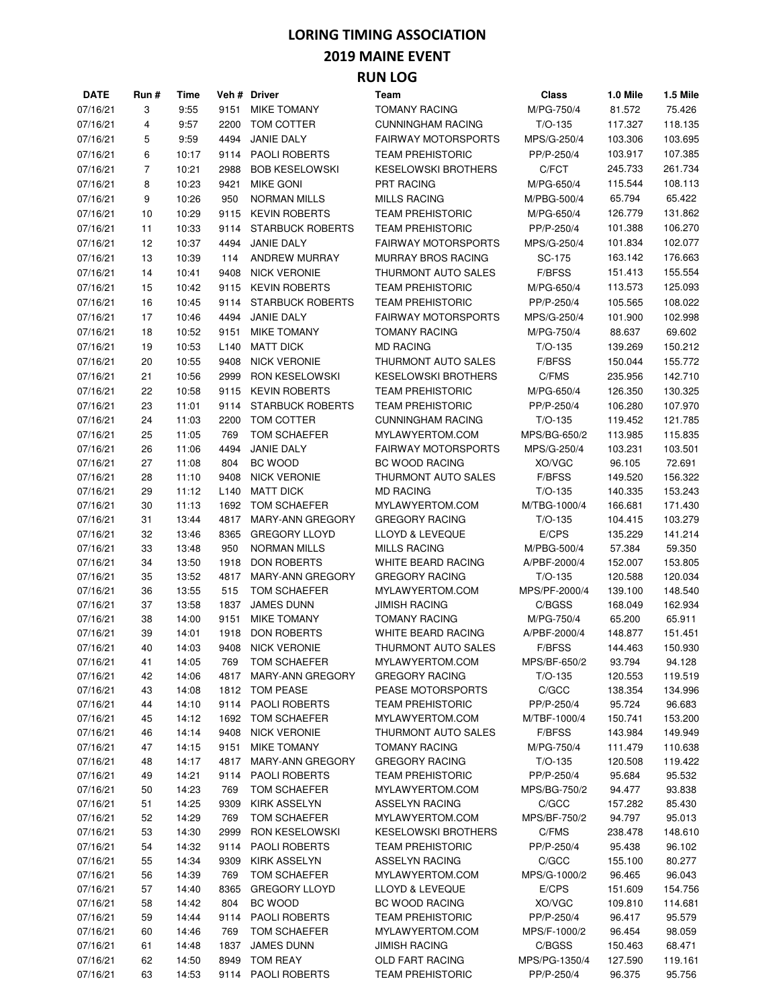#### **2019 MAINE EVENT**

| <b>DATE</b> | Run # | Time  |                  | Veh # Driver            | Team                       | Class         | 1.0 Mile | 1.5 Mile |
|-------------|-------|-------|------------------|-------------------------|----------------------------|---------------|----------|----------|
| 07/16/21    | 3     | 9:55  | 9151             | <b>MIKE TOMANY</b>      | <b>TOMANY RACING</b>       | M/PG-750/4    | 81.572   | 75.426   |
| 07/16/21    | 4     | 9:57  | 2200             | TOM COTTER              | <b>CUNNINGHAM RACING</b>   | $T/O-135$     | 117.327  | 118.135  |
| 07/16/21    | 5     | 9:59  | 4494             | <b>JANIE DALY</b>       | <b>FAIRWAY MOTORSPORTS</b> | MPS/G-250/4   | 103.306  | 103.695  |
| 07/16/21    | 6     | 10:17 | 9114             | <b>PAOLI ROBERTS</b>    | <b>TEAM PREHISTORIC</b>    | PP/P-250/4    | 103.917  | 107.385  |
| 07/16/21    | 7     | 10:21 | 2988             | <b>BOB KESELOWSKI</b>   | <b>KESELOWSKI BROTHERS</b> | C/FCT         | 245.733  | 261.734  |
| 07/16/21    | 8     | 10:23 | 9421             | <b>MIKE GONI</b>        | <b>PRT RACING</b>          | M/PG-650/4    | 115.544  | 108.113  |
| 07/16/21    | 9     | 10:26 | 950              | <b>NORMAN MILLS</b>     | <b>MILLS RACING</b>        | M/PBG-500/4   | 65.794   | 65.422   |
| 07/16/21    | 10    | 10:29 | 9115             | <b>KEVIN ROBERTS</b>    | <b>TEAM PREHISTORIC</b>    | M/PG-650/4    | 126.779  | 131.862  |
| 07/16/21    | 11    | 10:33 | 9114             | <b>STARBUCK ROBERTS</b> | <b>TEAM PREHISTORIC</b>    | PP/P-250/4    | 101.388  | 106.270  |
| 07/16/21    | 12    | 10:37 | 4494             | <b>JANIE DALY</b>       | <b>FAIRWAY MOTORSPORTS</b> | MPS/G-250/4   | 101.834  | 102.077  |
| 07/16/21    | 13    | 10:39 | 114              | <b>ANDREW MURRAY</b>    | <b>MURRAY BROS RACING</b>  | SC-175        | 163.142  | 176.663  |
| 07/16/21    |       | 10:41 | 9408             | <b>NICK VERONIE</b>     | THURMONT AUTO SALES        | F/BFSS        |          | 155.554  |
|             | 14    |       |                  |                         |                            |               | 151.413  |          |
| 07/16/21    | 15    | 10:42 | 9115             | <b>KEVIN ROBERTS</b>    | <b>TEAM PREHISTORIC</b>    | M/PG-650/4    | 113.573  | 125.093  |
| 07/16/21    | 16    | 10:45 | 9114             | <b>STARBUCK ROBERTS</b> | <b>TEAM PREHISTORIC</b>    | PP/P-250/4    | 105.565  | 108.022  |
| 07/16/21    | 17    | 10:46 | 4494             | <b>JANIE DALY</b>       | <b>FAIRWAY MOTORSPORTS</b> | MPS/G-250/4   | 101.900  | 102.998  |
| 07/16/21    | 18    | 10:52 | 9151             | <b>MIKE TOMANY</b>      | <b>TOMANY RACING</b>       | M/PG-750/4    | 88.637   | 69.602   |
| 07/16/21    | 19    | 10:53 | L <sub>140</sub> | <b>MATT DICK</b>        | <b>MD RACING</b>           | $T/O-135$     | 139.269  | 150.212  |
| 07/16/21    | 20    | 10:55 | 9408             | <b>NICK VERONIE</b>     | THURMONT AUTO SALES        | <b>F/BFSS</b> | 150.044  | 155.772  |
| 07/16/21    | 21    | 10:56 | 2999             | <b>RON KESELOWSKI</b>   | <b>KESELOWSKI BROTHERS</b> | C/FMS         | 235.956  | 142.710  |
| 07/16/21    | 22    | 10:58 | 9115             | <b>KEVIN ROBERTS</b>    | <b>TEAM PREHISTORIC</b>    | M/PG-650/4    | 126.350  | 130.325  |
| 07/16/21    | 23    | 11:01 | 9114             | <b>STARBUCK ROBERTS</b> | <b>TEAM PREHISTORIC</b>    | PP/P-250/4    | 106.280  | 107.970  |
| 07/16/21    | 24    | 11:03 | 2200             | TOM COTTER              | <b>CUNNINGHAM RACING</b>   | $T/O-135$     | 119.452  | 121.785  |
| 07/16/21    | 25    | 11:05 | 769              | TOM SCHAEFER            | MYLAWYERTOM.COM            | MPS/BG-650/2  | 113.985  | 115.835  |
| 07/16/21    | 26    | 11:06 | 4494             | <b>JANIE DALY</b>       | <b>FAIRWAY MOTORSPORTS</b> | MPS/G-250/4   | 103.231  | 103.501  |
| 07/16/21    | 27    | 11:08 | 804              | BC WOOD                 | <b>BC WOOD RACING</b>      | XO/VGC        | 96.105   | 72.691   |
| 07/16/21    | 28    | 11:10 | 9408             | <b>NICK VERONIE</b>     | THURMONT AUTO SALES        | F/BFSS        | 149.520  | 156.322  |
| 07/16/21    | 29    | 11:12 | L <sub>140</sub> | <b>MATT DICK</b>        | <b>MD RACING</b>           | $T/O-135$     | 140.335  | 153.243  |
| 07/16/21    | 30    | 11:13 | 1692             | <b>TOM SCHAEFER</b>     | MYLAWYERTOM.COM            | M/TBG-1000/4  | 166.681  | 171.430  |
| 07/16/21    | 31    | 13:44 | 4817             | <b>MARY-ANN GREGORY</b> | <b>GREGORY RACING</b>      | $T/O-135$     | 104.415  | 103.279  |
| 07/16/21    | 32    | 13:46 | 8365             | <b>GREGORY LLOYD</b>    | LLOYD & LEVEQUE            | E/CPS         | 135.229  | 141.214  |
| 07/16/21    | 33    | 13:48 | 950              | <b>NORMAN MILLS</b>     | <b>MILLS RACING</b>        | M/PBG-500/4   | 57.384   | 59.350   |
| 07/16/21    | 34    | 13:50 | 1918             | <b>DON ROBERTS</b>      | WHITE BEARD RACING         | A/PBF-2000/4  | 152.007  | 153.805  |
| 07/16/21    | 35    | 13:52 | 4817             | <b>MARY-ANN GREGORY</b> | <b>GREGORY RACING</b>      | $T/O-135$     | 120.588  | 120.034  |
| 07/16/21    | 36    | 13:55 | 515              | TOM SCHAEFER            | MYLAWYERTOM.COM            | MPS/PF-2000/4 | 139.100  | 148.540  |
| 07/16/21    | 37    | 13:58 | 1837             | <b>JAMES DUNN</b>       | <b>JIMISH RACING</b>       | C/BGSS        | 168.049  | 162.934  |
| 07/16/21    | 38    | 14:00 | 9151             | <b>MIKE TOMANY</b>      | <b>TOMANY RACING</b>       | M/PG-750/4    | 65.200   | 65.911   |
| 07/16/21    | 39    | 14:01 | 1918             | <b>DON ROBERTS</b>      | WHITE BEARD RACING         | A/PBF-2000/4  | 148.877  | 151.451  |
| 07/16/21    | 40    | 14:03 | 9408             | <b>NICK VERONIE</b>     | THURMONT AUTO SALES        | <b>F/BFSS</b> | 144.463  | 150.930  |
| 07/16/21    | 41    | 14:05 | 769              | TOM SCHAEFER            | MYLAWYERTOM.COM            | MPS/BF-650/2  | 93.794   | 94.128   |
| 07/16/21    | 42    | 14:06 |                  | 4817 MARY-ANN GREGORY   | <b>GREGORY RACING</b>      | $T/O-135$     | 120.553  | 119.519  |
| 07/16/21    | 43    | 14:08 | 1812             | TOM PEASE               | PEASE MOTORSPORTS          | C/GCC         | 138.354  | 134.996  |
| 07/16/21    | 44    | 14:10 |                  | 9114 PAOLI ROBERTS      | <b>TEAM PREHISTORIC</b>    | PP/P-250/4    | 95.724   | 96.683   |
| 07/16/21    | 45    | 14:12 | 1692             | TOM SCHAEFER            | MYLAWYERTOM.COM            | M/TBF-1000/4  | 150.741  | 153.200  |
| 07/16/21    | 46    | 14:14 | 9408             | <b>NICK VERONIE</b>     | THURMONT AUTO SALES        | F/BFSS        | 143.984  | 149.949  |
| 07/16/21    | 47    | 14:15 | 9151             | <b>MIKE TOMANY</b>      | <b>TOMANY RACING</b>       | M/PG-750/4    | 111.479  | 110.638  |
| 07/16/21    | 48    | 14:17 | 4817             | MARY-ANN GREGORY        | <b>GREGORY RACING</b>      | $T/O-135$     | 120.508  | 119.422  |
| 07/16/21    | 49    | 14:21 | 9114             | <b>PAOLI ROBERTS</b>    | <b>TEAM PREHISTORIC</b>    | PP/P-250/4    | 95.684   | 95.532   |
| 07/16/21    | 50    | 14:23 | 769              | TOM SCHAEFER            | MYLAWYERTOM.COM            | MPS/BG-750/2  | 94.477   | 93.838   |
| 07/16/21    | 51    | 14:25 | 9309             | <b>KIRK ASSELYN</b>     | <b>ASSELYN RACING</b>      | C/GCC         | 157.282  | 85.430   |
| 07/16/21    | 52    | 14:29 | 769              | TOM SCHAEFER            | MYLAWYERTOM.COM            | MPS/BF-750/2  | 94.797   | 95.013   |
| 07/16/21    | 53    | 14:30 | 2999             | <b>RON KESELOWSKI</b>   | <b>KESELOWSKI BROTHERS</b> | C/FMS         | 238.478  | 148.610  |
| 07/16/21    | 54    | 14:32 | 9114             | <b>PAOLI ROBERTS</b>    | <b>TEAM PREHISTORIC</b>    | PP/P-250/4    | 95.438   | 96.102   |
| 07/16/21    | 55    | 14:34 | 9309             | KIRK ASSELYN            | <b>ASSELYN RACING</b>      | C/GCC         | 155.100  | 80.277   |
| 07/16/21    | 56    | 14:39 | 769              | TOM SCHAEFER            | MYLAWYERTOM.COM            | MPS/G-1000/2  | 96.465   | 96.043   |
| 07/16/21    | 57    | 14:40 | 8365             | <b>GREGORY LLOYD</b>    | LLOYD & LEVEQUE            | E/CPS         | 151.609  | 154.756  |
| 07/16/21    | 58    | 14:42 | 804              | BC WOOD                 | BC WOOD RACING             | XO/VGC        | 109.810  | 114.681  |
| 07/16/21    | 59    | 14:44 | 9114             | <b>PAOLI ROBERTS</b>    | <b>TEAM PREHISTORIC</b>    | PP/P-250/4    | 96.417   | 95.579   |
| 07/16/21    | 60    | 14:46 | 769              | TOM SCHAEFER            | MYLAWYERTOM.COM            | MPS/F-1000/2  | 96.454   | 98.059   |
| 07/16/21    | 61    | 14:48 | 1837             | <b>JAMES DUNN</b>       | <b>JIMISH RACING</b>       | C/BGSS        | 150.463  | 68.471   |
| 07/16/21    | 62    | 14:50 | 8949             | TOM REAY                | OLD FART RACING            | MPS/PG-1350/4 | 127.590  | 119.161  |
| 07/16/21    | 63    | 14:53 |                  | 9114 PAOLI ROBERTS      | <b>TEAM PREHISTORIC</b>    | PP/P-250/4    | 96.375   | 95.756   |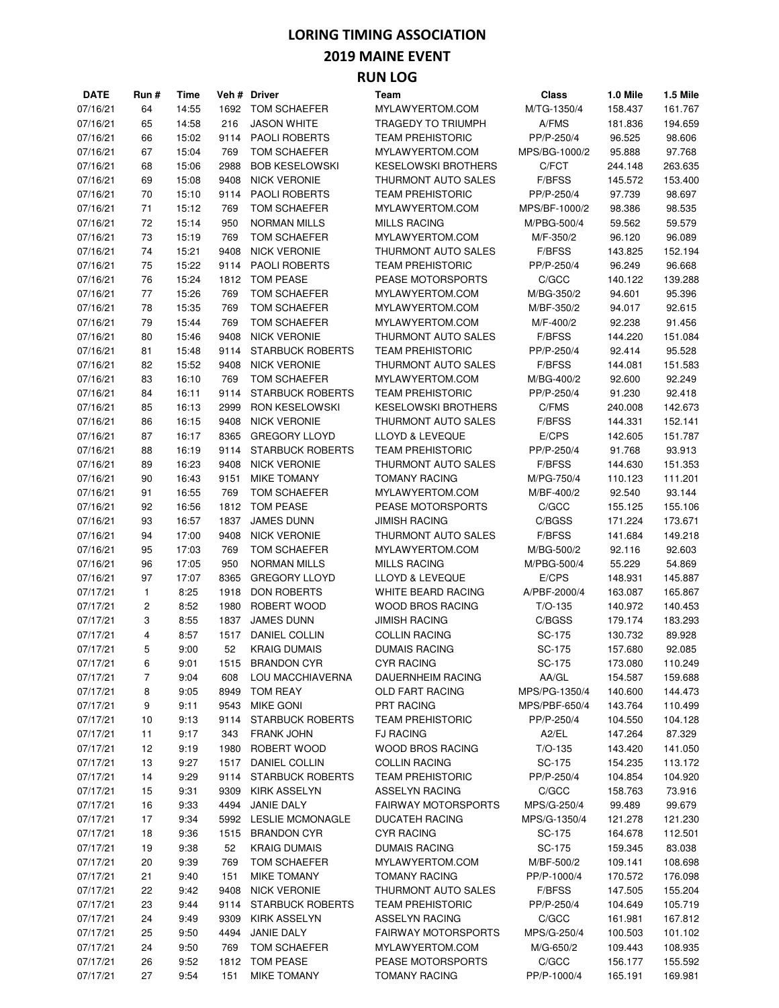#### **2019 MAINE EVENT**

| <b>DATE</b> | Run #        | Time  |      | Veh # Driver            | Team                       | <b>Class</b>  | 1.0 Mile | 1.5 Mile |
|-------------|--------------|-------|------|-------------------------|----------------------------|---------------|----------|----------|
| 07/16/21    | 64           | 14:55 | 1692 | TOM SCHAEFER            | MYLAWYERTOM.COM            | M/TG-1350/4   | 158.437  | 161.767  |
| 07/16/21    | 65           | 14:58 | 216  | <b>JASON WHITE</b>      | TRAGEDY TO TRIUMPH         | A/FMS         | 181.836  | 194.659  |
| 07/16/21    | 66           | 15:02 | 9114 | PAOLI ROBERTS           | <b>TEAM PREHISTORIC</b>    | PP/P-250/4    | 96.525   | 98.606   |
| 07/16/21    | 67           | 15:04 | 769  | TOM SCHAEFER            | MYLAWYERTOM.COM            | MPS/BG-1000/2 | 95.888   | 97.768   |
| 07/16/21    | 68           | 15:06 | 2988 | <b>BOB KESELOWSKI</b>   | <b>KESELOWSKI BROTHERS</b> | C/FCT         | 244.148  | 263.635  |
| 07/16/21    | 69           | 15:08 | 9408 | <b>NICK VERONIE</b>     | THURMONT AUTO SALES        | F/BFSS        | 145.572  | 153.400  |
| 07/16/21    | 70           | 15:10 | 9114 | <b>PAOLI ROBERTS</b>    | <b>TEAM PREHISTORIC</b>    | PP/P-250/4    | 97.739   | 98.697   |
| 07/16/21    | 71           | 15:12 | 769  | TOM SCHAEFER            | MYLAWYERTOM.COM            | MPS/BF-1000/2 | 98.386   | 98.535   |
| 07/16/21    | 72           | 15:14 | 950  | <b>NORMAN MILLS</b>     | <b>MILLS RACING</b>        | M/PBG-500/4   | 59.562   | 59.579   |
|             |              | 15:19 | 769  | TOM SCHAEFER            | MYLAWYERTOM.COM            |               |          | 96.089   |
| 07/16/21    | 73           |       |      | <b>NICK VERONIE</b>     |                            | M/F-350/2     | 96.120   |          |
| 07/16/21    | 74           | 15:21 | 9408 |                         | THURMONT AUTO SALES        | F/BFSS        | 143.825  | 152.194  |
| 07/16/21    | 75           | 15:22 | 9114 | PAOLI ROBERTS           | <b>TEAM PREHISTORIC</b>    | PP/P-250/4    | 96.249   | 96.668   |
| 07/16/21    | 76           | 15:24 | 1812 | <b>TOM PEASE</b>        | PEASE MOTORSPORTS          | C/GCC         | 140.122  | 139.288  |
| 07/16/21    | 77           | 15:26 | 769  | TOM SCHAEFER            | MYLAWYERTOM.COM            | M/BG-350/2    | 94.601   | 95.396   |
| 07/16/21    | 78           | 15:35 | 769  | TOM SCHAEFER            | MYLAWYERTOM.COM            | M/BF-350/2    | 94.017   | 92.615   |
| 07/16/21    | 79           | 15:44 | 769  | TOM SCHAEFER            | MYLAWYERTOM.COM            | M/F-400/2     | 92.238   | 91.456   |
| 07/16/21    | 80           | 15:46 | 9408 | <b>NICK VERONIE</b>     | THURMONT AUTO SALES        | F/BFSS        | 144.220  | 151.084  |
| 07/16/21    | 81           | 15:48 | 9114 | <b>STARBUCK ROBERTS</b> | <b>TEAM PREHISTORIC</b>    | PP/P-250/4    | 92.414   | 95.528   |
| 07/16/21    | 82           | 15:52 | 9408 | <b>NICK VERONIE</b>     | THURMONT AUTO SALES        | <b>F/BFSS</b> | 144.081  | 151.583  |
| 07/16/21    | 83           | 16:10 | 769  | TOM SCHAEFER            | MYLAWYERTOM.COM            | M/BG-400/2    | 92.600   | 92.249   |
| 07/16/21    | 84           | 16:11 | 9114 | <b>STARBUCK ROBERTS</b> | <b>TEAM PREHISTORIC</b>    | PP/P-250/4    | 91.230   | 92.418   |
| 07/16/21    | 85           | 16:13 | 2999 | RON KESELOWSKI          | <b>KESELOWSKI BROTHERS</b> | C/FMS         | 240.008  | 142.673  |
| 07/16/21    | 86           | 16:15 | 9408 | <b>NICK VERONIE</b>     | <b>THURMONT AUTO SALES</b> | F/BFSS        | 144.331  | 152.141  |
| 07/16/21    | 87           | 16:17 | 8365 | <b>GREGORY LLOYD</b>    | LLOYD & LEVEQUE            | E/CPS         | 142.605  | 151.787  |
| 07/16/21    | 88           | 16:19 | 9114 | <b>STARBUCK ROBERTS</b> | <b>TEAM PREHISTORIC</b>    | PP/P-250/4    | 91.768   | 93.913   |
| 07/16/21    | 89           | 16:23 | 9408 | <b>NICK VERONIE</b>     | THURMONT AUTO SALES        | F/BFSS        | 144.630  | 151.353  |
| 07/16/21    | 90           | 16:43 | 9151 | <b>MIKE TOMANY</b>      | <b>TOMANY RACING</b>       | M/PG-750/4    | 110.123  | 111.201  |
| 07/16/21    | 91           | 16:55 | 769  | TOM SCHAEFER            | MYLAWYERTOM.COM            | M/BF-400/2    | 92.540   | 93.144   |
| 07/16/21    | 92           | 16:56 | 1812 | <b>TOM PEASE</b>        | PEASE MOTORSPORTS          | C/GCC         | 155.125  | 155.106  |
|             |              |       |      |                         |                            |               |          |          |
| 07/16/21    | 93           | 16:57 | 1837 | <b>JAMES DUNN</b>       | <b>JIMISH RACING</b>       | C/BGSS        | 171.224  | 173.671  |
| 07/16/21    | 94           | 17:00 | 9408 | <b>NICK VERONIE</b>     | THURMONT AUTO SALES        | F/BFSS        | 141.684  | 149.218  |
| 07/16/21    | 95           | 17:03 | 769  | TOM SCHAEFER            | MYLAWYERTOM.COM            | M/BG-500/2    | 92.116   | 92.603   |
| 07/16/21    | 96           | 17:05 | 950  | <b>NORMAN MILLS</b>     | <b>MILLS RACING</b>        | M/PBG-500/4   | 55.229   | 54.869   |
| 07/16/21    | 97           | 17:07 | 8365 | <b>GREGORY LLOYD</b>    | LLOYD & LEVEQUE            | E/CPS         | 148.931  | 145.887  |
| 07/17/21    | $\mathbf{1}$ | 8:25  | 1918 | <b>DON ROBERTS</b>      | WHITE BEARD RACING         | A/PBF-2000/4  | 163.087  | 165.867  |
| 07/17/21    | 2            | 8:52  | 1980 | ROBERT WOOD             | <b>WOOD BROS RACING</b>    | $T/O-135$     | 140.972  | 140.453  |
| 07/17/21    | 3            | 8:55  | 1837 | <b>JAMES DUNN</b>       | <b>JIMISH RACING</b>       | C/BGSS        | 179.174  | 183.293  |
| 07/17/21    | 4            | 8:57  | 1517 | DANIEL COLLIN           | <b>COLLIN RACING</b>       | SC-175        | 130.732  | 89.928   |
| 07/17/21    | 5            | 9:00  | 52   | <b>KRAIG DUMAIS</b>     | <b>DUMAIS RACING</b>       | SC-175        | 157.680  | 92.085   |
| 07/17/21    | 6            | 9:01  | 1515 | <b>BRANDON CYR</b>      | <b>CYR RACING</b>          | SC-175        | 173.080  | 110.249  |
| 07/17/21    | 7            | 9:04  | 608  | LOU MACCHIAVERNA        | DAUERNHEIM RACING          | AA/GL         | 154.587  | 159.688  |
| 07/17/21    | 8            | 9:05  | 8949 | <b>TOM REAY</b>         | OLD FART RACING            | MPS/PG-1350/4 | 140.600  | 144.473  |
| 07/17/21    | 9            | 9:11  | 9543 | <b>MIKE GONI</b>        | PRT RACING                 | MPS/PBF-650/4 | 143.764  | 110.499  |
| 07/17/21    | 10           | 9:13  | 9114 | <b>STARBUCK ROBERTS</b> | <b>TEAM PREHISTORIC</b>    | PP/P-250/4    | 104.550  | 104.128  |
| 07/17/21    | 11           | 9:17  | 343  | <b>FRANK JOHN</b>       | <b>FJ RACING</b>           | A2/EL         | 147.264  | 87.329   |
| 07/17/21    | 12           | 9:19  | 1980 | ROBERT WOOD             | WOOD BROS RACING           | $T/O-135$     | 143.420  | 141.050  |
| 07/17/21    | 13           | 9:27  | 1517 | DANIEL COLLIN           | <b>COLLIN RACING</b>       | SC-175        | 154.235  | 113.172  |
| 07/17/21    | 14           | 9:29  | 9114 | <b>STARBUCK ROBERTS</b> | <b>TEAM PREHISTORIC</b>    | PP/P-250/4    | 104.854  | 104.920  |
| 07/17/21    | 15           | 9:31  | 9309 | <b>KIRK ASSELYN</b>     | <b>ASSELYN RACING</b>      | C/GCC         | 158.763  | 73.916   |
| 07/17/21    | 16           | 9:33  | 4494 | JANIE DALY              | <b>FAIRWAY MOTORSPORTS</b> | MPS/G-250/4   | 99.489   | 99.679   |
| 07/17/21    | 17           | 9:34  | 5992 | <b>LESLIE MCMONAGLE</b> | <b>DUCATEH RACING</b>      | MPS/G-1350/4  | 121.278  | 121.230  |
| 07/17/21    | 18           | 9:36  | 1515 | <b>BRANDON CYR</b>      | <b>CYR RACING</b>          | SC-175        | 164.678  | 112.501  |
|             |              |       | 52   |                         | <b>DUMAIS RACING</b>       | SC-175        |          |          |
| 07/17/21    | 19           | 9:38  |      | <b>KRAIG DUMAIS</b>     |                            |               | 159.345  | 83.038   |
| 07/17/21    | 20           | 9:39  | 769  | TOM SCHAEFER            | MYLAWYERTOM.COM            | M/BF-500/2    | 109.141  | 108.698  |
| 07/17/21    | 21           | 9:40  | 151  | <b>MIKE TOMANY</b>      | <b>TOMANY RACING</b>       | PP/P-1000/4   | 170.572  | 176.098  |
| 07/17/21    | 22           | 9:42  | 9408 | <b>NICK VERONIE</b>     | THURMONT AUTO SALES        | <b>F/BFSS</b> | 147.505  | 155.204  |
| 07/17/21    | 23           | 9:44  | 9114 | <b>STARBUCK ROBERTS</b> | <b>TEAM PREHISTORIC</b>    | PP/P-250/4    | 104.649  | 105.719  |
| 07/17/21    | 24           | 9:49  | 9309 | KIRK ASSELYN            | ASSELYN RACING             | C/GCC         | 161.981  | 167.812  |
| 07/17/21    | 25           | 9:50  | 4494 | <b>JANIE DALY</b>       | <b>FAIRWAY MOTORSPORTS</b> | MPS/G-250/4   | 100.503  | 101.102  |
| 07/17/21    | 24           | 9:50  | 769  | TOM SCHAEFER            | MYLAWYERTOM.COM            | M/G-650/2     | 109.443  | 108.935  |
| 07/17/21    | 26           | 9:52  | 1812 | <b>TOM PEASE</b>        | PEASE MOTORSPORTS          | C/GCC         | 156.177  | 155.592  |
| 07/17/21    | 27           | 9:54  | 151  | <b>MIKE TOMANY</b>      | <b>TOMANY RACING</b>       | PP/P-1000/4   | 165.191  | 169.981  |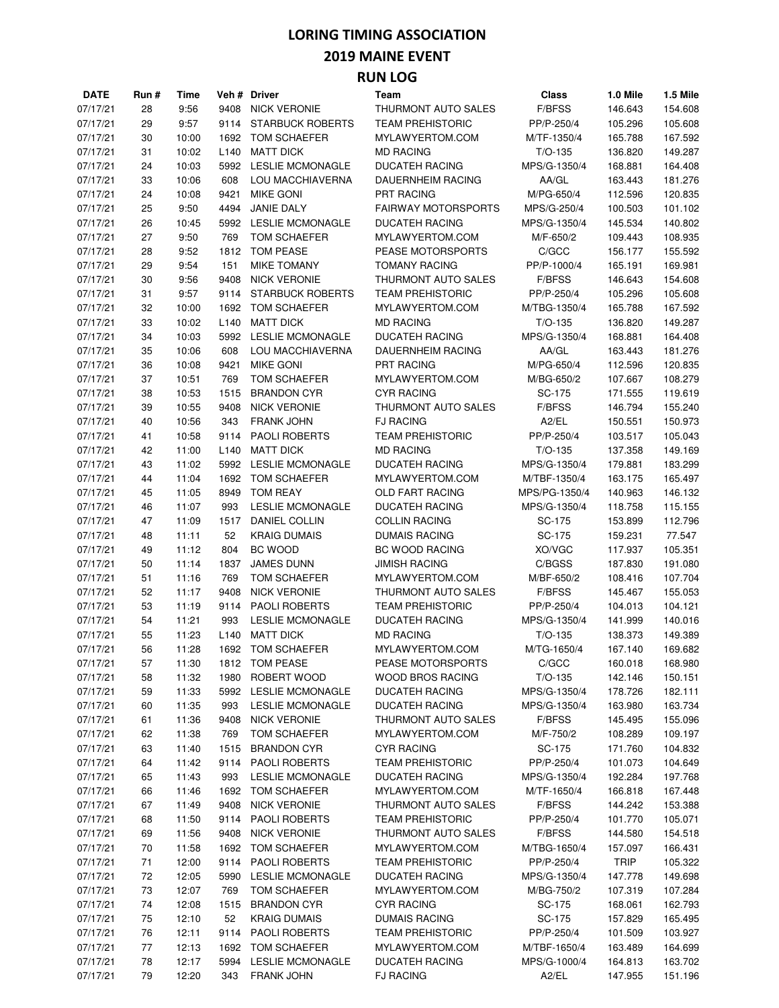#### **2019 MAINE EVENT**

| <b>DATE</b>          | Run #    | Time           |                  | Veh # Driver                       | Team                                 | <b>Class</b>        | 1.0 Mile           | 1.5 Mile           |
|----------------------|----------|----------------|------------------|------------------------------------|--------------------------------------|---------------------|--------------------|--------------------|
| 07/17/21             | 28       | 9:56           | 9408             | <b>NICK VERONIE</b>                | THURMONT AUTO SALES                  | <b>F/BFSS</b>       | 146.643            | 154.608            |
| 07/17/21             | 29       | 9:57           | 9114             | <b>STARBUCK ROBERTS</b>            | <b>TEAM PREHISTORIC</b>              | PP/P-250/4          | 105.296            | 105.608            |
| 07/17/21             | 30       | 10:00          | 1692             | <b>TOM SCHAEFER</b>                | MYLAWYERTOM.COM                      | M/TF-1350/4         | 165.788            | 167.592            |
| 07/17/21             | 31       | 10:02          | L <sub>140</sub> | <b>MATT DICK</b>                   | <b>MD RACING</b>                     | $T/O-135$           | 136.820            | 149.287            |
| 07/17/21             | 24       | 10:03          | 5992             | <b>LESLIE MCMONAGLE</b>            | <b>DUCATEH RACING</b>                | MPS/G-1350/4        | 168.881            | 164.408            |
| 07/17/21             | 33       | 10:06          | 608              | LOU MACCHIAVERNA                   | <b>DAUERNHEIM RACING</b>             | AA/GL               | 163.443            | 181.276            |
| 07/17/21             | 24       | 10:08          | 9421             | <b>MIKE GONI</b>                   | <b>PRT RACING</b>                    | M/PG-650/4          | 112.596            | 120.835            |
| 07/17/21             | 25       | 9:50           | 4494             | <b>JANIE DALY</b>                  | <b>FAIRWAY MOTORSPORTS</b>           | MPS/G-250/4         | 100.503            | 101.102            |
| 07/17/21             | 26       | 10:45          | 5992             | <b>LESLIE MCMONAGLE</b>            | <b>DUCATEH RACING</b>                | MPS/G-1350/4        | 145.534            | 140.802            |
| 07/17/21             | 27       | 9:50           | 769              | <b>TOM SCHAEFER</b>                | MYLAWYERTOM.COM                      | M/F-650/2           | 109.443            | 108.935            |
| 07/17/21             | 28       | 9:52           | 1812             | TOM PEASE                          | PEASE MOTORSPORTS                    | C/GCC               | 156.177            | 155.592            |
| 07/17/21             | 29       | 9:54           | 151              | <b>MIKE TOMANY</b>                 | <b>TOMANY RACING</b>                 | PP/P-1000/4         | 165.191            | 169.981            |
| 07/17/21             | 30       | 9:56           | 9408             | <b>NICK VERONIE</b>                | THURMONT AUTO SALES                  | <b>F/BFSS</b>       | 146.643            | 154.608            |
| 07/17/21             | 31       | 9:57           | 9114             | <b>STARBUCK ROBERTS</b>            | <b>TEAM PREHISTORIC</b>              | PP/P-250/4          | 105.296            | 105.608            |
| 07/17/21             | 32       | 10:00          | 1692             | <b>TOM SCHAEFER</b>                | MYLAWYERTOM.COM                      | M/TBG-1350/4        | 165.788            | 167.592            |
| 07/17/21             | 33       | 10:02          | L <sub>140</sub> | <b>MATT DICK</b>                   | <b>MD RACING</b>                     | $T/O-135$           | 136.820            | 149.287            |
| 07/17/21             | 34       | 10:03          | 5992             | <b>LESLIE MCMONAGLE</b>            | <b>DUCATEH RACING</b>                | MPS/G-1350/4        | 168.881            | 164.408            |
| 07/17/21             | 35       | 10:06          | 608              | LOU MACCHIAVERNA                   | DAUERNHEIM RACING                    | AA/GL               | 163.443            | 181.276            |
| 07/17/21             | 36       | 10:08          | 9421             | <b>MIKE GONI</b>                   | <b>PRT RACING</b>                    | M/PG-650/4          | 112.596            | 120.835            |
| 07/17/21             | 37       | 10:51          | 769              | TOM SCHAEFER                       | MYLAWYERTOM.COM                      | M/BG-650/2          | 107.667            | 108.279            |
| 07/17/21             | 38       | 10:53          | 1515             | <b>BRANDON CYR</b>                 | <b>CYR RACING</b>                    | SC-175              | 171.555            | 119.619            |
| 07/17/21             | 39       | 10:55          | 9408             | <b>NICK VERONIE</b>                | THURMONT AUTO SALES                  | <b>F/BFSS</b>       | 146.794            | 155.240            |
| 07/17/21             | 40       | 10:56          | 343              | <b>FRANK JOHN</b>                  | <b>FJ RACING</b>                     | A2/EL               | 150.551            | 150.973            |
| 07/17/21             | 41       | 10:58          | 9114             | <b>PAOLI ROBERTS</b>               | <b>TEAM PREHISTORIC</b>              | PP/P-250/4          | 103.517            | 105.043            |
| 07/17/21             | 42       | 11:00          | L <sub>140</sub> | <b>MATT DICK</b>                   | <b>MD RACING</b>                     | $T/O-135$           | 137.358            | 149.169            |
| 07/17/21             | 43       | 11:02          | 5992             | <b>LESLIE MCMONAGLE</b>            | <b>DUCATEH RACING</b>                | MPS/G-1350/4        | 179.881            | 183.299            |
| 07/17/21             | 44       | 11:04          | 1692             | <b>TOM SCHAEFER</b>                | MYLAWYERTOM.COM                      | M/TBF-1350/4        | 163.175            | 165.497            |
| 07/17/21             | 45       | 11:05          | 8949             | <b>TOM REAY</b>                    | <b>OLD FART RACING</b>               | MPS/PG-1350/4       | 140.963            | 146.132            |
| 07/17/21             | 46       | 11:07          | 993              | <b>LESLIE MCMONAGLE</b>            | <b>DUCATEH RACING</b>                | MPS/G-1350/4        | 118.758            | 115.155            |
| 07/17/21             | 47       | 11:09          | 1517             | <b>DANIEL COLLIN</b>               | <b>COLLIN RACING</b>                 | SC-175              | 153.899            | 112.796            |
| 07/17/21             | 48       | 11:11          | 52               | <b>KRAIG DUMAIS</b>                | <b>DUMAIS RACING</b>                 | SC-175              | 159.231            | 77.547             |
| 07/17/21             | 49       | 11:12          | 804              | BC WOOD                            | BC WOOD RACING                       | XO/VGC              | 117.937            | 105.351            |
| 07/17/21             | 50       | 11:14          | 1837             | <b>JAMES DUNN</b>                  | <b>JIMISH RACING</b>                 | C/BGSS              | 187.830            | 191.080            |
| 07/17/21             | 51       | 11:16          | 769              | TOM SCHAEFER                       | MYLAWYERTOM.COM                      | M/BF-650/2          | 108.416            | 107.704            |
| 07/17/21             | 52       | 11:17          | 9408             | <b>NICK VERONIE</b>                | THURMONT AUTO SALES                  | F/BFSS              | 145.467            | 155.053            |
| 07/17/21             | 53       | 11:19          | 9114             | <b>PAOLI ROBERTS</b>               | <b>TEAM PREHISTORIC</b>              | PP/P-250/4          | 104.013            | 104.121            |
| 07/17/21             | 54       | 11:21          | 993              | <b>LESLIE MCMONAGLE</b>            | <b>DUCATEH RACING</b>                | MPS/G-1350/4        | 141.999            | 140.016            |
| 07/17/21             | 55       | 11:23          | L <sub>140</sub> | <b>MATT DICK</b>                   | <b>MD RACING</b>                     | $T/O-135$           | 138.373            | 149.389            |
| 07/17/21             | 56       | 11:28          |                  | 1692 TOM SCHAEFER                  | MYLAWYERTOM.COM                      | M/TG-1650/4         | 167.140            | 169.682            |
| 07/17/21             | 57       | 11:30          |                  | 1812 TOM PEASE                     | PEASE MOTORSPORTS                    | C/GCC               | 160.018            | 168.980            |
| 07/17/21             | 58       | 11:32          | 1980             | ROBERT WOOD                        | <b>WOOD BROS RACING</b>              | $T/O-135$           | 142.146            | 150.151            |
| 07/17/21             | 59       | 11:33          |                  | 5992 LESLIE MCMONAGLE              | <b>DUCATEH RACING</b>                | MPS/G-1350/4        | 178.726            | 182.111            |
| 07/17/21             | 60       | 11:35          | 993              | <b>LESLIE MCMONAGLE</b>            | <b>DUCATEH RACING</b>                | MPS/G-1350/4        | 163.980            | 163.734            |
| 07/17/21             | 61       | 11:36          | 9408             | <b>NICK VERONIE</b>                | THURMONT AUTO SALES                  | <b>F/BFSS</b>       | 145.495            | 155.096            |
| 07/17/21             | 62       | 11:38          | 769              | TOM SCHAEFER<br><b>BRANDON CYR</b> | MYLAWYERTOM.COM<br><b>CYR RACING</b> | M/F-750/2<br>SC-175 | 108.289            | 109.197            |
| 07/17/21<br>07/17/21 | 63<br>64 | 11:40<br>11:42 | 1515             | 9114 PAOLI ROBERTS                 | <b>TEAM PREHISTORIC</b>              | PP/P-250/4          | 171.760<br>101.073 | 104.832<br>104.649 |
| 07/17/21             | 65       | 11:43          | 993              | <b>LESLIE MCMONAGLE</b>            | <b>DUCATEH RACING</b>                | MPS/G-1350/4        | 192.284            | 197.768            |
| 07/17/21             | 66       | 11:46          |                  | 1692 TOM SCHAEFER                  | MYLAWYERTOM.COM                      | M/TF-1650/4         | 166.818            | 167.448            |
| 07/17/21             | 67       | 11:49          | 9408             | <b>NICK VERONIE</b>                | THURMONT AUTO SALES                  | F/BFSS              | 144.242            | 153.388            |
| 07/17/21             | 68       | 11:50          |                  | 9114 PAOLI ROBERTS                 | <b>TEAM PREHISTORIC</b>              | PP/P-250/4          | 101.770            | 105.071            |
| 07/17/21             | 69       | 11:56          | 9408             | <b>NICK VERONIE</b>                | THURMONT AUTO SALES                  | F/BFSS              | 144.580            | 154.518            |
| 07/17/21             | 70       | 11:58          | 1692             | <b>TOM SCHAEFER</b>                | MYLAWYERTOM.COM                      | M/TBG-1650/4        | 157.097            | 166.431            |
| 07/17/21             | 71       | 12:00          | 9114             | <b>PAOLI ROBERTS</b>               | <b>TEAM PREHISTORIC</b>              | PP/P-250/4          | <b>TRIP</b>        | 105.322            |
| 07/17/21             | 72       | 12:05          | 5990             | <b>LESLIE MCMONAGLE</b>            | <b>DUCATEH RACING</b>                | MPS/G-1350/4        | 147.778            | 149.698            |
| 07/17/21             | 73       | 12:07          | 769              | TOM SCHAEFER                       | MYLAWYERTOM.COM                      | M/BG-750/2          | 107.319            | 107.284            |
| 07/17/21             | 74       | 12:08          | 1515             | <b>BRANDON CYR</b>                 | <b>CYR RACING</b>                    | SC-175              | 168.061            | 162.793            |
| 07/17/21             | 75       | 12:10          | 52               | <b>KRAIG DUMAIS</b>                | <b>DUMAIS RACING</b>                 | SC-175              | 157.829            | 165.495            |
| 07/17/21             | 76       | 12:11          | 9114             | <b>PAOLI ROBERTS</b>               | <b>TEAM PREHISTORIC</b>              | PP/P-250/4          | 101.509            | 103.927            |
| 07/17/21             | 77       | 12:13          | 1692             | <b>TOM SCHAEFER</b>                | MYLAWYERTOM.COM                      | M/TBF-1650/4        | 163.489            | 164.699            |
| 07/17/21             | 78       | 12:17          | 5994             | <b>LESLIE MCMONAGLE</b>            | <b>DUCATEH RACING</b>                | MPS/G-1000/4        | 164.813            | 163.702            |
| 07/17/21             | 79       | 12:20          | 343              | <b>FRANK JOHN</b>                  | <b>FJ RACING</b>                     | A2/EL               | 147.955            | 151.196            |
|                      |          |                |                  |                                    |                                      |                     |                    |                    |